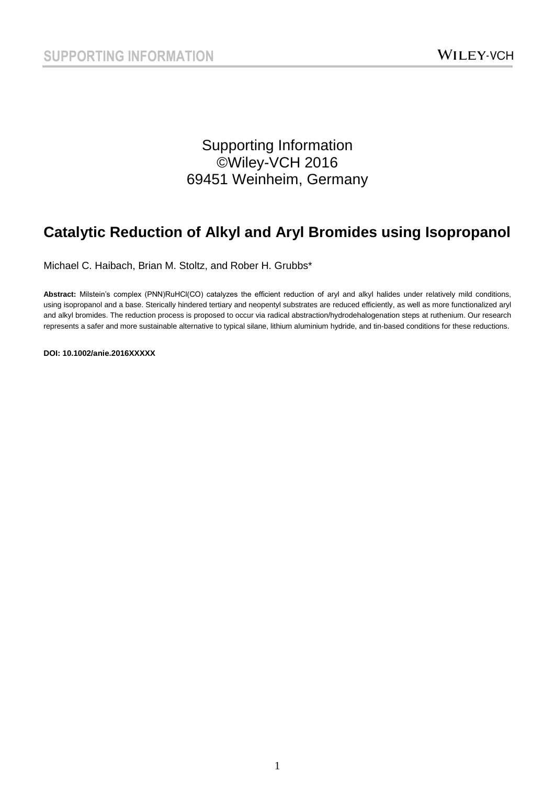### Supporting Information ©Wiley-VCH 2016 69451 Weinheim, Germany

## **Catalytic Reduction of Alkyl and Aryl Bromides using Isopropanol**

Michael C. Haibach, Brian M. Stoltz, and Rober H. Grubbs\*

Abstract: Milstein's complex (PNN)RuHCl(CO) catalyzes the efficient reduction of aryl and alkyl halides under relatively mild conditions, using isopropanol and a base. Sterically hindered tertiary and neopentyl substrates are reduced efficiently, as well as more functionalized aryl and alkyl bromides. The reduction process is proposed to occur via radical abstraction/hydrodehalogenation steps at ruthenium. Our research represents a safer and more sustainable alternative to typical silane, lithium aluminium hydride, and tin-based conditions for these reductions.

**DOI: 10.1002/anie.2016XXXXX**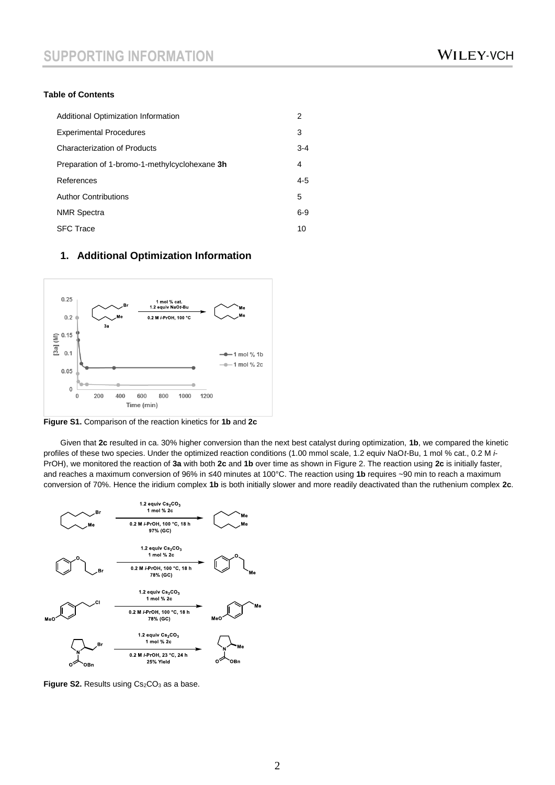#### **Table of Contents**

| Additional Optimization Information           | 2       |
|-----------------------------------------------|---------|
| <b>Experimental Procedures</b>                | 3       |
| <b>Characterization of Products</b>           | $3 - 4$ |
| Preparation of 1-bromo-1-methylcyclohexane 3h | 4       |
| References                                    | $4 - 5$ |
| <b>Author Contributions</b>                   | 5       |
| <b>NMR</b> Spectra                            | $6-9$   |
| <b>SFC Trace</b>                              | 10      |

#### **1. Additional Optimization Information**



**Figure S1.** Comparison of the reaction kinetics for **1b** and **2c**

Given that **2c** resulted in ca. 30% higher conversion than the next best catalyst during optimization, **1b**, we compared the kinetic profiles of these two species. Under the optimized reaction conditions (1.00 mmol scale, 1.2 equiv NaO*t*-Bu, 1 mol % cat., 0.2 M *i*-PrOH), we monitored the reaction of **3a** with both **2c** and **1b** over time as shown in Figure 2. The reaction using **2c** is initially faster, and reaches a maximum conversion of 96% in ≤40 minutes at 100°C. The reaction using **1b** requires ~90 min to reach a maximum conversion of 70%. Hence the iridium complex **1b** is both initially slower and more readily deactivated than the ruthenium complex **2c**.



**Figure S2.** Results using Cs<sub>2</sub>CO<sub>3</sub> as a base.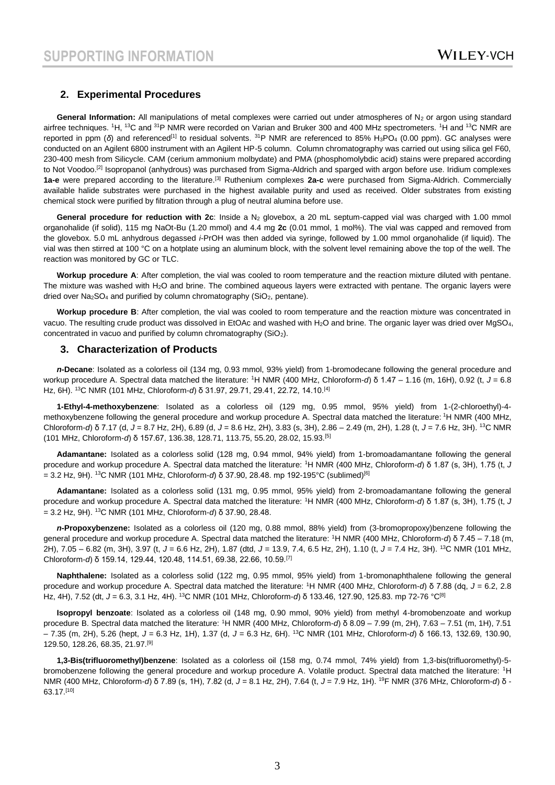#### **2. Experimental Procedures**

**General Information:** All manipulations of metal complexes were carried out under atmospheres of  $N_2$  or argon using standard airfree techniques. <sup>1</sup>H, <sup>13</sup>C and <sup>31</sup>P NMR were recorded on Varian and Bruker 300 and 400 MHz spectrometers. <sup>1</sup>H and <sup>13</sup>C NMR are reported in ppm (δ) and referenced<sup>[1]</sup> to residual solvents. <sup>31</sup>P NMR are referenced to 85% H<sub>3</sub>PO<sub>4</sub> (0.00 ppm). GC analyses were conducted on an Agilent 6800 instrument with an Agilent HP-5 column. Column chromatography was carried out using silica gel F60, 230-400 mesh from Silicycle. CAM (cerium ammonium molbydate) and PMA (phosphomolybdic acid) stains were prepared according to Not Voodoo.<sup>[2]</sup> Isopropanol (anhydrous) was purchased from Sigma-Aldrich and sparged with argon before use. Iridium complexes **1a-e** were prepared according to the literature.[3] Ruthenium complexes **2a-c** were purchased from Sigma-Aldrich. Commercially available halide substrates were purchased in the highest available purity and used as received. Older substrates from existing chemical stock were purified by filtration through a plug of neutral alumina before use.

General procedure for reduction with 2c: Inside a N<sub>2</sub> glovebox, a 20 mL septum-capped vial was charged with 1.00 mmol organohalide (if solid), 115 mg NaOt-Bu (1.20 mmol) and 4.4 mg **2c** (0.01 mmol, 1 mol%). The vial was capped and removed from the glovebox. 5.0 mL anhydrous degassed *i*-PrOH was then added via syringe, followed by 1.00 mmol organohalide (if liquid). The vial was then stirred at 100 °C on a hotplate using an aluminum block, with the solvent level remaining above the top of the well. The reaction was monitored by GC or TLC.

**Workup procedure A**: After completion, the vial was cooled to room temperature and the reaction mixture diluted with pentane. The mixture was washed with  $H_2O$  and brine. The combined aqueous layers were extracted with pentane. The organic layers were dried over  $Na<sub>2</sub>SO<sub>4</sub>$  and purified by column chromatography (SiO<sub>2</sub>, pentane).

**Workup procedure B**: After completion, the vial was cooled to room temperature and the reaction mixture was concentrated in vacuo. The resulting crude product was dissolved in EtOAc and washed with H<sub>2</sub>O and brine. The organic layer was dried over MgSO<sub>4</sub>, concentrated in vacuo and purified by column chromatography  $(SiO<sub>2</sub>)$ .

#### **3. Characterization of Products**

*n***-Decane**: Isolated as a colorless oil (134 mg, 0.93 mmol, 93% yield) from 1-bromodecane following the general procedure and workup procedure A. Spectral data matched the literature: <sup>1</sup>H NMR (400 MHz, Chloroform-*d*) δ 1.47 – 1.16 (m, 16H), 0.92 (t, *J* = 6.8 Hz, 6H). <sup>13</sup>C NMR (101 MHz, Chloroform-*d*) δ 31.97, 29.71, 29.41, 22.72, 14.10.[4]

**1-Ethyl-4-methoxybenzene**: Isolated as a colorless oil (129 mg, 0.95 mmol, 95% yield) from 1-(2-chloroethyl)-4 methoxybenzene following the general procedure and workup procedure A. Spectral data matched the literature: <sup>1</sup>H NMR (400 MHz, Chloroform-*d*) δ 7.17 (d, *J* = 8.7 Hz, 2H), 6.89 (d, *J* = 8.6 Hz, 2H), 3.83 (s, 3H), 2.86 – 2.49 (m, 2H), 1.28 (t, *J* = 7.6 Hz, 3H). <sup>13</sup>C NMR (101 MHz, Chloroform-*d*) δ 157.67, 136.38, 128.71, 113.75, 55.20, 28.02, 15.93.[5]

**Adamantane:** Isolated as a colorless solid (128 mg, 0.94 mmol, 94% yield) from 1-bromoadamantane following the general procedure and workup procedure A. Spectral data matched the literature: <sup>1</sup>H NMR (400 MHz, Chloroform-*d*) δ 1.87 (s, 3H), 1.75 (t, *J* = 3.2 Hz, 9H). <sup>13</sup>C NMR (101 MHz, Chloroform-*d*) δ 37.90, 28.48. mp 192-195°C (sublimed)[6]

**Adamantane:** Isolated as a colorless solid (131 mg, 0.95 mmol, 95% yield) from 2-bromoadamantane following the general procedure and workup procedure A. Spectral data matched the literature: <sup>1</sup>H NMR (400 MHz, Chloroform-*d*) δ 1.87 (s, 3H), 1.75 (t, *J* = 3.2 Hz, 9H). <sup>13</sup>C NMR (101 MHz, Chloroform-*d*) δ 37.90, 28.48.

*n***-Propoxybenzene:** Isolated as a colorless oil (120 mg, 0.88 mmol, 88% yield) from (3-bromopropoxy)benzene following the general procedure and workup procedure A. Spectral data matched the literature: <sup>1</sup>H NMR (400 MHz, Chloroform-*d*) δ 7.45 – 7.18 (m, 2H), 7.05 – 6.82 (m, 3H), 3.97 (t, *J* = 6.6 Hz, 2H), 1.87 (dtd, *J* = 13.9, 7.4, 6.5 Hz, 2H), 1.10 (t, *J* = 7.4 Hz, 3H). <sup>13</sup>C NMR (101 MHz, Chloroform-*d*) δ 159.14, 129.44, 120.48, 114.51, 69.38, 22.66, 10.59.[7]

**Naphthalene:** Isolated as a colorless solid (122 mg, 0.95 mmol, 95% yield) from 1-bromonaphthalene following the general procedure and workup procedure A. Spectral data matched the literature: <sup>1</sup>H NMR (400 MHz, Chloroform-*d*) δ 7.88 (dq, *J* = 6.2, 2.8 Hz, 4H), 7.52 (dt, *J* = 6.3, 3.1 Hz, 4H). <sup>13</sup>C NMR (101 MHz, Chloroform-*d*) δ 133.46, 127.90, 125.83. mp 72-76 °C[8]

**Isopropyl benzoate**: Isolated as a colorless oil (148 mg, 0.90 mmol, 90% yield) from methyl 4-bromobenzoate and workup procedure B. Spectral data matched the literature: <sup>1</sup>H NMR (400 MHz, Chloroform-*d*) δ 8.09 – 7.99 (m, 2H), 7.63 – 7.51 (m, 1H), 7.51 – 7.35 (m, 2H), 5.26 (hept, *J* = 6.3 Hz, 1H), 1.37 (d, *J* = 6.3 Hz, 6H). <sup>13</sup>C NMR (101 MHz, Chloroform-*d*) δ 166.13, 132.69, 130.90, 129.50, 128.26, 68.35, 21.97.[9]

**1,3-Bis(trifluoromethyl)benzene**: Isolated as a colorless oil (158 mg, 0.74 mmol, 74% yield) from 1,3-bis(trifluoromethyl)-5 bromobenzene following the general procedure and workup procedure A. Volatile product. Spectral data matched the literature: <sup>1</sup>H NMR (400 MHz, Chloroform-*d*) δ 7.89 (s, 1H), 7.82 (d, *J* = 8.1 Hz, 2H), 7.64 (t, *J* = 7.9 Hz, 1H). <sup>19</sup>F NMR (376 MHz, Chloroform-*d*) δ - 63.17.[10]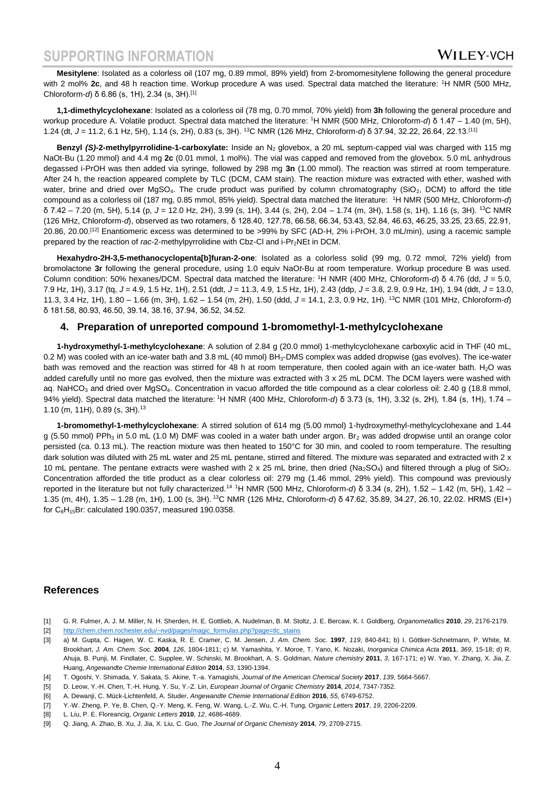### **SUPPORTING INFORMATION**

**Mesitylene**: Isolated as a colorless oil (107 mg, 0.89 mmol, 89% yield) from 2-bromomesitylene following the general procedure with 2 mol% **2c**, and 48 h reaction time. Workup procedure A was used. Spectral data matched the literature: <sup>1</sup>H NMR (500 MHz, Chloroform-*d*) δ 6.86 (s, 1H), 2.34 (s, 3H).[1]

**1,1-dimethylcyclohexane**: Isolated as a colorless oil (78 mg, 0.70 mmol, 70% yield) from **3h** following the general procedure and workup procedure A. Volatile product. Spectral data matched the literature: <sup>1</sup>H NMR (500 MHz, Chloroform-*d*) δ 1.47 – 1.40 (m, 5H), 1.24 (dt, *J* = 11.2, 6.1 Hz, 5H), 1.14 (s, 2H), 0.83 (s, 3H). <sup>13</sup>C NMR (126 MHz, Chloroform-*d*) δ 37.94, 32.22, 26.64, 22.13.[11]

Benzyl (S)-2-methylpyrrolidine-1-carboxylate: Inside an N<sub>2</sub> glovebox, a 20 mL septum-capped vial was charged with 115 mg NaOt-Bu (1.20 mmol) and 4.4 mg **2c** (0.01 mmol, 1 mol%). The vial was capped and removed from the glovebox. 5.0 mL anhydrous degassed i-PrOH was then added via syringe, followed by 298 mg **3n** (1.00 mmol). The reaction was stirred at room temperature. After 24 h, the reaction appeared complete by TLC (DCM, CAM stain). The reaction mixture was extracted with ether, washed with water, brine and dried over  $MgSO<sub>4</sub>$ . The crude product was purified by column chromatography (SiO<sub>2</sub>, DCM) to afford the title compound as a colorless oil (187 mg, 0.85 mmol, 85% yield). Spectral data matched the literature: <sup>1</sup>H NMR (500 MHz, Chloroform-*d*) δ 7.42 – 7.20 (m, 5H), 5.14 (p, *J* = 12.0 Hz, 2H), 3.99 (s, 1H), 3.44 (s, 2H), 2.04 – 1.74 (m, 3H), 1.58 (s, 1H), 1.16 (s, 3H). <sup>13</sup>C NMR (126 MHz, Chloroform-*d*), observed as two rotamers, δ 128.40, 127.78, 66.58, 66.34, 53.43, 52.84, 46.63, 46.25, 33.25, 23.65, 22.91, 20.86, 20.00.[12] Enantiomeric excess was determined to be >99% by SFC (AD-H, 2% i-PrOH, 3.0 mL/min), using a racemic sample prepared by the reaction of *rac*-2-methylpyrrolidine with Cbz-Cl and i-Pr<sub>2</sub>NEt in DCM.

**Hexahydro-2H-3,5-methanocyclopenta[b]furan-2-one**: Isolated as a colorless solid (99 mg, 0.72 mmol, 72% yield) from bromolactone **3r** following the general procedure, using 1.0 equiv NaO*t*-Bu at room temperature. Workup procedure B was used. Column condition: 50% hexanes/DCM. Spectral data matched the literature: <sup>1</sup>H NMR (400 MHz, Chloroform-*d*) δ 4.76 (dd, *J* = 5.0, 7.9 Hz, 1H), 3.17 (tq, *J* = 4.9, 1.5 Hz, 1H), 2.51 (ddt, *J* = 11.3, 4.9, 1.5 Hz, 1H), 2.43 (ddp, *J* = 3.8, 2.9, 0.9 Hz, 1H), 1.94 (ddt, *J* = 13.0, 11.3, 3.4 Hz, 1H), 1.80 – 1.66 (m, 3H), 1.62 – 1.54 (m, 2H), 1.50 (ddd, *J* = 14.1, 2.3, 0.9 Hz, 1H). <sup>13</sup>C NMR (101 MHz, Chloroform-*d*) δ 181.58, 80.93, 46.50, 39.14, 38.16, 37.94, 36.52, 34.52.

#### **4. Preparation of unreported compound 1-bromomethyl-1-methylcyclohexane**

**1-hydroxymethyl-1-methylcyclohexane**: A solution of 2.84 g (20.0 mmol) 1-methylcyclohexane carboxylic acid in THF (40 mL, 0.2 M) was cooled with an ice-water bath and 3.8 mL (40 mmol) BH<sub>3</sub>-DMS complex was added dropwise (gas evolves). The ice-water bath was removed and the reaction was stirred for 48 h at room temperature, then cooled again with an ice-water bath.  $H_2O$  was added carefully until no more gas evolved, then the mixture was extracted with 3 x 25 mL DCM. The DCM layers were washed with aq. NaHCO<sub>3</sub> and dried over MgSO<sub>4</sub>. Concentration in vacuo afforded the title compound as a clear colorless oil: 2.40 g (18.8 mmol, 94% yield). Spectral data matched the literature: <sup>1</sup>H NMR (400 MHz, Chloroform-*d*) δ 3.73 (s, 1H), 3.32 (s, 2H), 1.84 (s, 1H), 1.74 – 1.10 (m, 11H), 0.89 (s, 3H).<sup>13</sup>

**1-bromomethyl-1-methylcyclohexane**: A stirred solution of 614 mg (5.00 mmol) 1-hydroxymethyl-methylcyclohexane and 1.44 g (5.50 mmol) PPh<sub>3</sub> in 5.0 mL (1.0 M) DMF was cooled in a water bath under argon. Br<sub>2</sub> was added dropwise until an orange color persisted (ca. 0.13 mL). The reaction mixture was then heated to 150°C for 30 min, and cooled to room temperature. The resulting dark solution was diluted with 25 mL water and 25 mL pentane, stirred and filtered. The mixture was separated and extracted with 2 x 10 mL pentane. The pentane extracts were washed with 2 x 25 mL brine, then dried (Na<sub>2</sub>SO<sub>4</sub>) and filtered through a plug of SiO<sub>2</sub>. Concentration afforded the title product as a clear colorless oil: 279 mg (1.46 mmol, 29% yield). This compound was previously reported in the literature but not fully characterized.<sup>14</sup> <sup>1</sup>H NMR (500 MHz, Chloroform-*d*) δ 3.34 (s, 2H), 1.52 – 1.42 (m, 5H), 1.42 – 1.35 (m, 4H), 1.35 – 1.28 (m, 1H), 1.00 (s, 3H). <sup>13</sup>C NMR (126 MHz, Chloroform-*d*) δ 47.62, 35.89, 34.27, 26.10, 22.02. HRMS (EI+) for  $C_8H_{15}Br$ : calculated 190.0357, measured 190.0358.

#### **References**

- [1] G. R. Fulmer, A. J. M. Miller, N. H. Sherden, H. E. Gottlieb, A. Nudelman, B. M. Stoltz, J. E. Bercaw, K. I. Goldberg, *Organometallics* **2010**, *29*, 2176-2179.
- [2] [http://chem.chem.rochester.edu/~nvd/pages/magic\\_formulas.php?page=tlc\\_stains](http://chem.chem.rochester.edu/~nvd/pages/magic_formulas.php?page=tlc_stains)
- [3] a) M. Gupta, C. Hagen, W. C. Kaska, R. E. Cramer, C. M. Jensen, *J. Am. Chem. Soc.* **1997**, *119*, 840-841; b) I. Göttker-Schnetmann, P. White, M. Brookhart, *J. Am. Chem. Soc.* **2004**, *126*, 1804-1811; c) M. Yamashita, Y. Moroe, T. Yano, K. Nozaki, *Inorganica Chimica Acta* **2011**, *369*, 15-18; d) R. Ahuja, B. Punji, M. Findlater, C. Supplee, W. Schinski, M. Brookhart, A. S. Goldman, *Nature chemistry* **2011**, *3*, 167-171; e) W. Yao, Y. Zhang, X. Jia, Z. Huang, *Angewandte Chemie International Edition* **2014**, *53*, 1390-1394.
- [4] T. Ogoshi, Y. Shimada, Y. Sakata, S. Akine, T.-a. Yamagishi, *Journal of the American Chemical Society* **2017**, *139*, 5664-5667.
- [5] D. Leow, Y.-H. Chen, T.-H. Hung, Y. Su, Y.-Z. Lin, *European Journal of Organic Chemistry* **2014**, *2014*, 7347-7352.
- [6] A. Dewanji, C. Mück-Lichtenfeld, A. Studer, *Angewandte Chemie International Edition* **2016**, *55*, 6749-6752.
- [7] Y.-W. Zheng, P. Ye, B. Chen, Q.-Y. Meng, K. Feng, W. Wang, L.-Z. Wu, C.-H. Tung, *Organic Letters* **2017**, *19*, 2206-2209.
- [8] L. Liu, P. E. Floreancig, *Organic Letters* **2010**, *12*, 4686-4689.
- [9] Q. Jiang, A. Zhao, B. Xu, J. Jia, X. Liu, C. Guo, *The Journal of Organic Chemistry* **2014**, *79*, 2709-2715.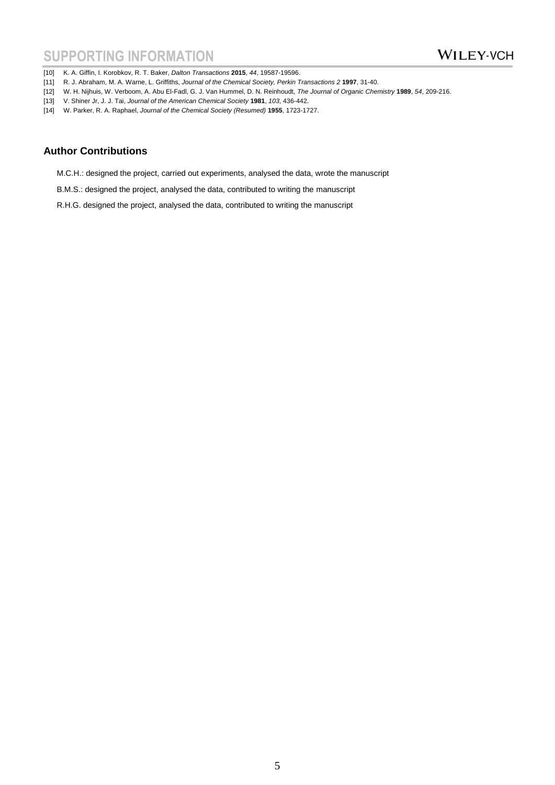[10] K. A. Giffin, I. Korobkov, R. T. Baker, *Dalton Transactions* **2015**, *44*, 19587-19596.

- [11] R. J. Abraham, M. A. Warne, L. Griffiths, *Journal of the Chemical Society, Perkin Transactions 2* 1997, 31-40.
- [12] W. H. Nijhuis, W. Verboom, A. Abu El-Fadl, G. J. Van Hummel, D. N. Reinhoudt, *The Journal of Organic Chemistry* **1989**, *54*, 209-216.
- [13] V. Shiner Jr, J. J. Tai, *Journal of the American Chemical Society* **1981**, *103*, 436-442.
- [14] W. Parker, R. A. Raphael, *Journal of the Chemical Society (Resumed)* **1955**, 1723-1727.

### **Author Contributions**

- M.C.H.: designed the project, carried out experiments, analysed the data, wrote the manuscript
- B.M.S.: designed the project, analysed the data, contributed to writing the manuscript
- R.H.G. designed the project, analysed the data, contributed to writing the manuscript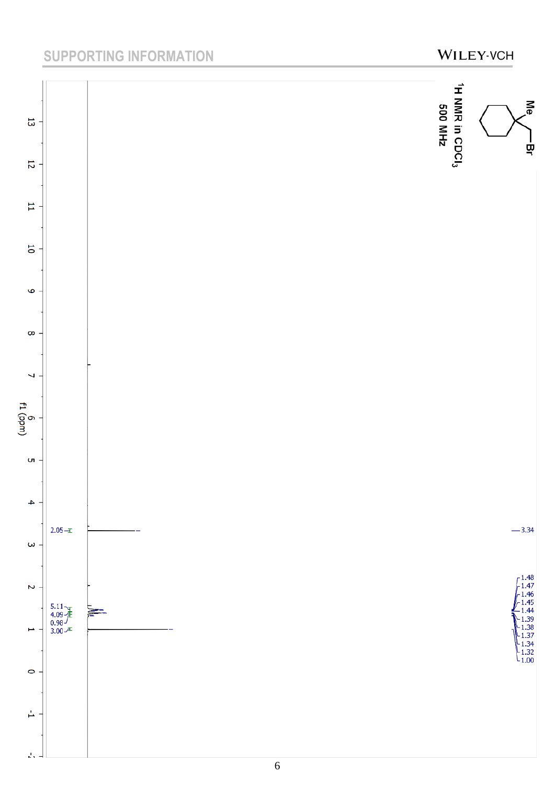# SUPPORTING INFORMATION **WILEY-VCH**

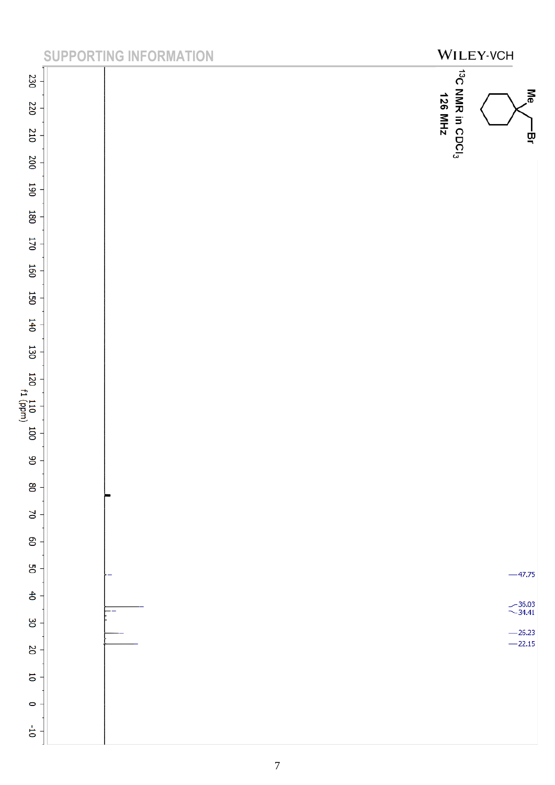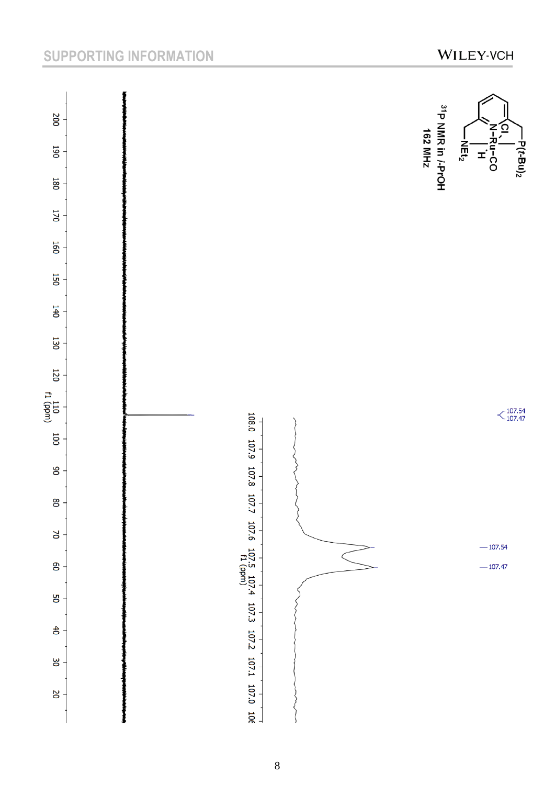# SUPPORTING INFORMATION **WILEY-VCH**

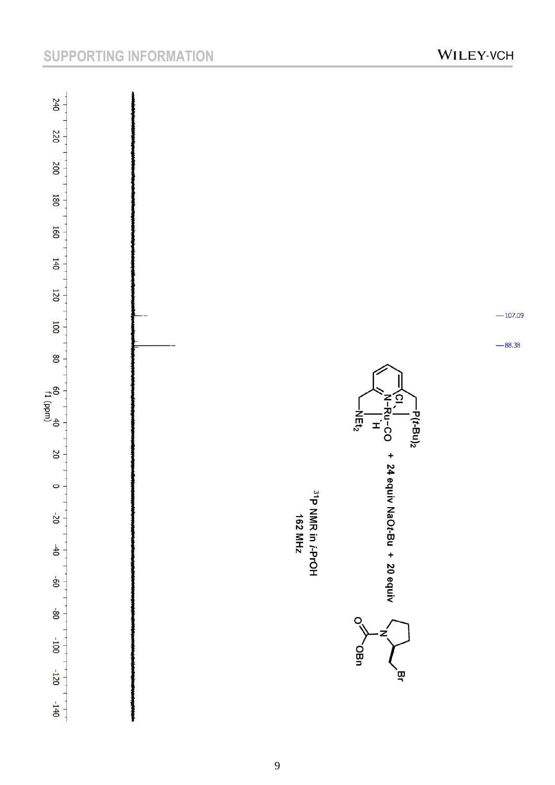# SUPPORTING INFORMATION **WILEY-VCH**